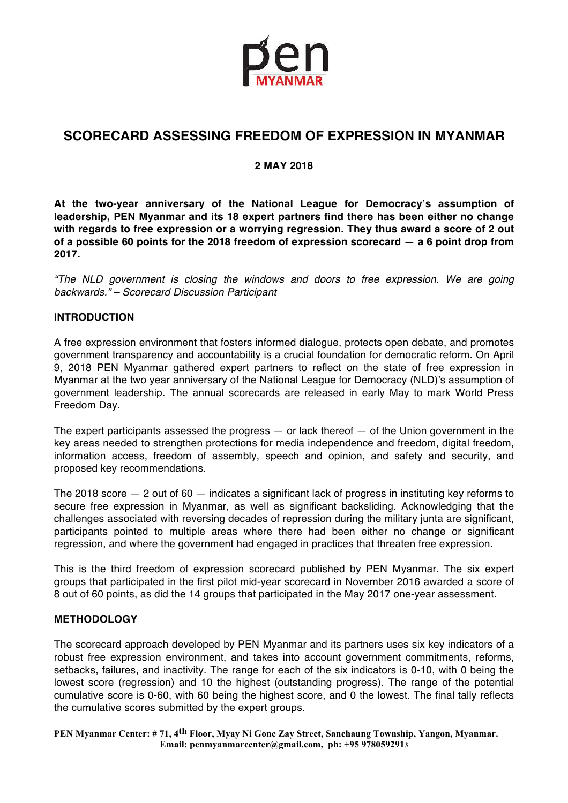

# **SCORECARD ASSESSING FREEDOM OF EXPRESSION IN MYANMAR**

#### **2 MAY 2018**

**At the two-year anniversary of the National League for Democracy's assumption of leadership, PEN Myanmar and its 18 expert partners find there has been either no change with regards to free expression or a worrying regression. They thus award a score of 2 out of a possible 60 points for the 2018 freedom of expression scorecard** — **a 6 point drop from 2017.** 

"The NLD government is closing the windows and doors to free expression. We are going backwards." – Scorecard Discussion Participant

#### **INTRODUCTION**

A free expression environment that fosters informed dialogue, protects open debate, and promotes government transparency and accountability is a crucial foundation for democratic reform. On April 9, 2018 PEN Myanmar gathered expert partners to reflect on the state of free expression in Myanmar at the two year anniversary of the National League for Democracy (NLD)'s assumption of government leadership. The annual scorecards are released in early May to mark World Press Freedom Day.

The expert participants assessed the progress  $-$  or lack thereof  $-$  of the Union government in the key areas needed to strengthen protections for media independence and freedom, digital freedom, information access, freedom of assembly, speech and opinion, and safety and security, and proposed key recommendations.

The 2018 score — 2 out of 60 — indicates a significant lack of progress in instituting key reforms to secure free expression in Myanmar, as well as significant backsliding. Acknowledging that the challenges associated with reversing decades of repression during the military junta are significant, participants pointed to multiple areas where there had been either no change or significant regression, and where the government had engaged in practices that threaten free expression.

This is the third freedom of expression scorecard published by PEN Myanmar. The six expert groups that participated in the first pilot mid-year scorecard in November 2016 awarded a score of 8 out of 60 points, as did the 14 groups that participated in the May 2017 one-year assessment.

#### **METHODOLOGY**

The scorecard approach developed by PEN Myanmar and its partners uses six key indicators of a robust free expression environment, and takes into account government commitments, reforms, setbacks, failures, and inactivity. The range for each of the six indicators is 0-10, with 0 being the lowest score (regression) and 10 the highest (outstanding progress). The range of the potential cumulative score is 0-60, with 60 being the highest score, and 0 the lowest. The final tally reflects the cumulative scores submitted by the expert groups.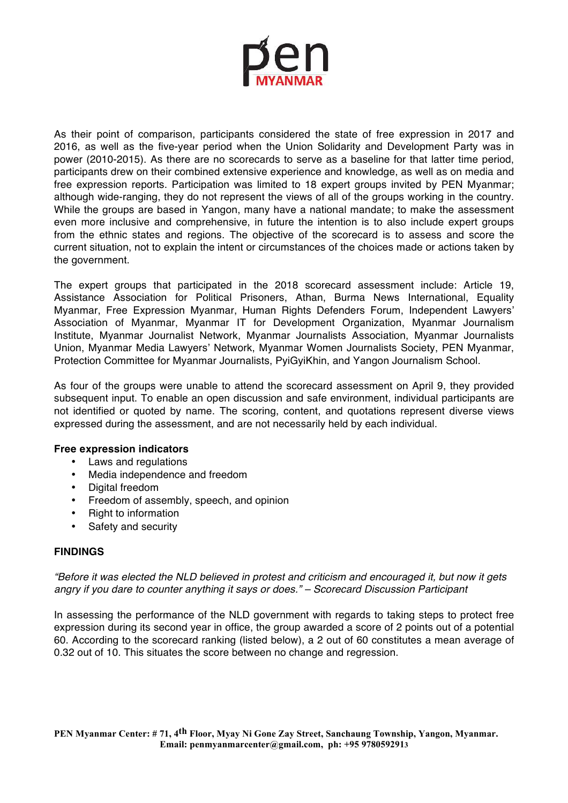

As their point of comparison, participants considered the state of free expression in 2017 and 2016, as well as the five-year period when the Union Solidarity and Development Party was in power (2010-2015). As there are no scorecards to serve as a baseline for that latter time period, participants drew on their combined extensive experience and knowledge, as well as on media and free expression reports. Participation was limited to 18 expert groups invited by PEN Myanmar; although wide-ranging, they do not represent the views of all of the groups working in the country. While the groups are based in Yangon, many have a national mandate; to make the assessment even more inclusive and comprehensive, in future the intention is to also include expert groups from the ethnic states and regions. The objective of the scorecard is to assess and score the current situation, not to explain the intent or circumstances of the choices made or actions taken by the government.

The expert groups that participated in the 2018 scorecard assessment include: Article 19, Assistance Association for Political Prisoners, Athan, Burma News International, Equality Myanmar, Free Expression Myanmar, Human Rights Defenders Forum, Independent Lawyers' Association of Myanmar, Myanmar IT for Development Organization, Myanmar Journalism Institute, Myanmar Journalist Network, Myanmar Journalists Association, Myanmar Journalists Union, Myanmar Media Lawyers' Network, Myanmar Women Journalists Society, PEN Myanmar, Protection Committee for Myanmar Journalists, PyiGyiKhin, and Yangon Journalism School.

As four of the groups were unable to attend the scorecard assessment on April 9, they provided subsequent input. To enable an open discussion and safe environment, individual participants are not identified or quoted by name. The scoring, content, and quotations represent diverse views expressed during the assessment, and are not necessarily held by each individual.

#### **Free expression indicators**

- Laws and regulations
- Media independence and freedom
- Digital freedom
- Freedom of assembly, speech, and opinion
- Right to information
- Safety and security

#### **FINDINGS**

"Before it was elected the NLD believed in protest and criticism and encouraged it, but now it gets angry if you dare to counter anything it says or does." – Scorecard Discussion Participant

In assessing the performance of the NLD government with regards to taking steps to protect free expression during its second year in office, the group awarded a score of 2 points out of a potential 60. According to the scorecard ranking (listed below), a 2 out of 60 constitutes a mean average of 0.32 out of 10. This situates the score between no change and regression.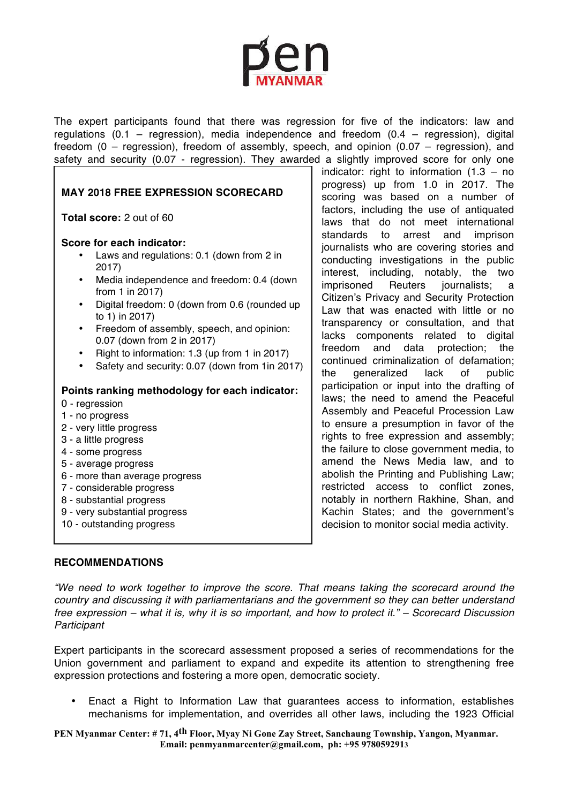The expert participants found that there was regression for five of the indicators: law and regulations (0.1 – regression), media independence and freedom (0.4 – regression), digital freedom (0 – regression), freedom of assembly, speech, and opinion (0.07 – regression), and safety and security (0.07 - regression). They awarded a slightly improved score for only one

#### **MAY 2018 FREE EXPRESSION SCORECARD**

**Total score:** 2 out of 60

#### **Score for each indicator:**

- Laws and regulations: 0.1 (down from 2 in 2017)
- Media independence and freedom: 0.4 (down from 1 in 2017)
- Digital freedom: 0 (down from 0.6 (rounded up to 1) in 2017)
- Freedom of assembly, speech, and opinion: 0.07 (down from 2 in 2017)
- Right to information: 1.3 (up from 1 in 2017)
- Safety and security: 0.07 (down from 1in 2017)

#### **Points ranking methodology for each indicator:**

- 0 regression
- 1 no progress
- 2 very little progress
- 3 a little progress
- 4 some progress
- 5 average progress
- 6 more than average progress
- 7 considerable progress
- 8 substantial progress
- 9 very substantial progress
- 10 outstanding progress

indicator: right to information  $(1.3 - no$ progress) up from 1.0 in 2017. The scoring was based on a number of factors, including the use of antiquated laws that do not meet international standards to arrest and imprison journalists who are covering stories and conducting investigations in the public interest, including, notably, the two imprisoned Reuters journalists; a Citizen's Privacy and Security Protection Law that was enacted with little or no transparency or consultation, and that lacks components related to digital freedom and data protection; the continued criminalization of defamation; the generalized lack of public participation or input into the drafting of laws; the need to amend the Peaceful Assembly and Peaceful Procession Law to ensure a presumption in favor of the rights to free expression and assembly; the failure to close government media, to amend the News Media law, and to abolish the Printing and Publishing Law; restricted access to conflict zones, notably in northern Rakhine, Shan, and Kachin States; and the government's decision to monitor social media activity.

#### **RECOMMENDATIONS**

"We need to work together to improve the score. That means taking the scorecard around the country and discussing it with parliamentarians and the government so they can better understand free expression – what it is, why it is so important, and how to protect it." – Scorecard Discussion **Participant** 

Expert participants in the scorecard assessment proposed a series of recommendations for the Union government and parliament to expand and expedite its attention to strengthening free expression protections and fostering a more open, democratic society.

• Enact a Right to Information Law that guarantees access to information, establishes mechanisms for implementation, and overrides all other laws, including the 1923 Official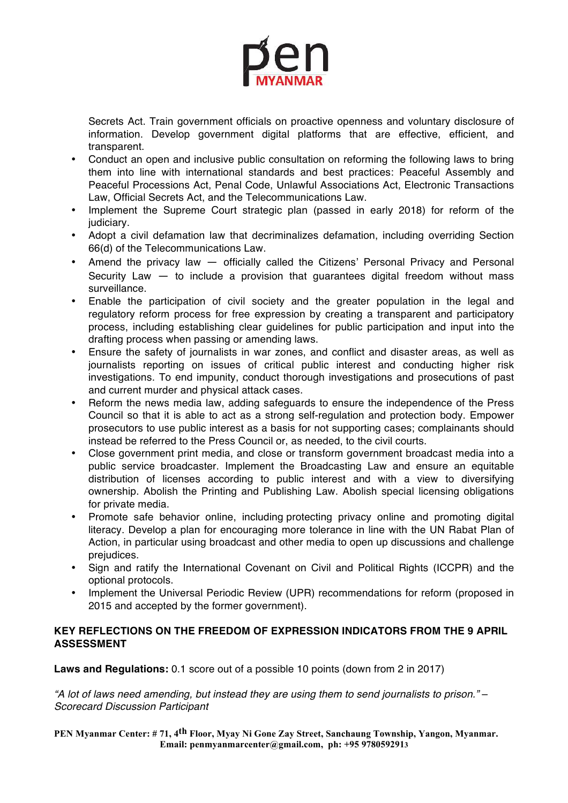

Secrets Act. Train government officials on proactive openness and voluntary disclosure of information. Develop government digital platforms that are effective, efficient, and transparent.

- Conduct an open and inclusive public consultation on reforming the following laws to bring them into line with international standards and best practices: Peaceful Assembly and Peaceful Processions Act, Penal Code, Unlawful Associations Act, Electronic Transactions Law, Official Secrets Act, and the Telecommunications Law.
- Implement the Supreme Court strategic plan (passed in early 2018) for reform of the judiciary.
- Adopt a civil defamation law that decriminalizes defamation, including overriding Section 66(d) of the Telecommunications Law.
- Amend the privacy law  $-$  officially called the Citizens' Personal Privacy and Personal Security Law — to include a provision that guarantees digital freedom without mass surveillance.
- Enable the participation of civil society and the greater population in the legal and regulatory reform process for free expression by creating a transparent and participatory process, including establishing clear guidelines for public participation and input into the drafting process when passing or amending laws.
- Ensure the safety of journalists in war zones, and conflict and disaster areas, as well as journalists reporting on issues of critical public interest and conducting higher risk investigations. To end impunity, conduct thorough investigations and prosecutions of past and current murder and physical attack cases.
- Reform the news media law, adding safeguards to ensure the independence of the Press Council so that it is able to act as a strong self-regulation and protection body. Empower prosecutors to use public interest as a basis for not supporting cases; complainants should instead be referred to the Press Council or, as needed, to the civil courts.
- Close government print media, and close or transform government broadcast media into a public service broadcaster. Implement the Broadcasting Law and ensure an equitable distribution of licenses according to public interest and with a view to diversifying ownership. Abolish the Printing and Publishing Law. Abolish special licensing obligations for private media.
- Promote safe behavior online, including protecting privacy online and promoting digital literacy. Develop a plan for encouraging more tolerance in line with the UN Rabat Plan of Action, in particular using broadcast and other media to open up discussions and challenge prejudices.
- Sign and ratify the International Covenant on Civil and Political Rights (ICCPR) and the optional protocols.
- Implement the Universal Periodic Review (UPR) recommendations for reform (proposed in 2015 and accepted by the former government).

### **KEY REFLECTIONS ON THE FREEDOM OF EXPRESSION INDICATORS FROM THE 9 APRIL ASSESSMENT**

**Laws and Regulations:** 0.1 score out of a possible 10 points (down from 2 in 2017)

"A lot of laws need amending, but instead they are using them to send journalists to prison." – Scorecard Discussion Participant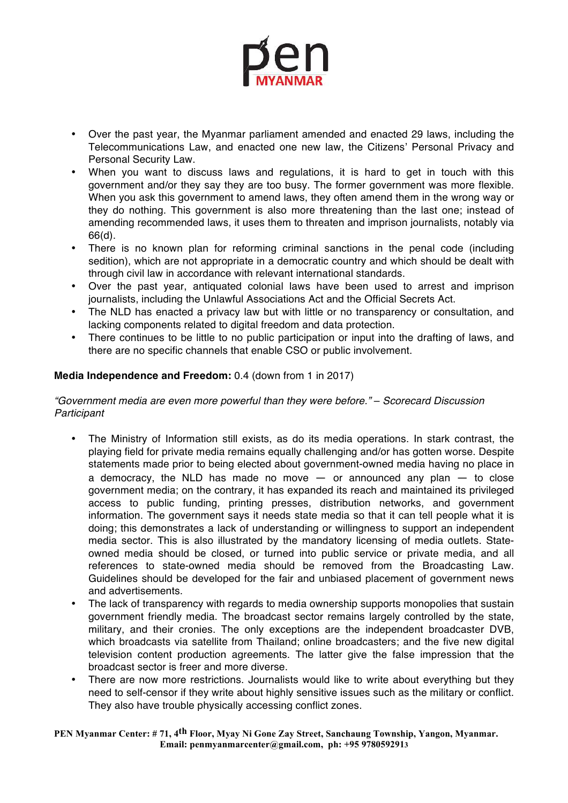

- Over the past year, the Myanmar parliament amended and enacted 29 laws, including the Telecommunications Law, and enacted one new law, the Citizens' Personal Privacy and Personal Security Law.
- When you want to discuss laws and regulations, it is hard to get in touch with this government and/or they say they are too busy. The former government was more flexible. When you ask this government to amend laws, they often amend them in the wrong way or they do nothing. This government is also more threatening than the last one; instead of amending recommended laws, it uses them to threaten and imprison journalists, notably via 66(d).
- There is no known plan for reforming criminal sanctions in the penal code (including sedition), which are not appropriate in a democratic country and which should be dealt with through civil law in accordance with relevant international standards.
- Over the past year, antiquated colonial laws have been used to arrest and imprison journalists, including the Unlawful Associations Act and the Official Secrets Act.
- The NLD has enacted a privacy law but with little or no transparency or consultation, and lacking components related to digital freedom and data protection.
- There continues to be little to no public participation or input into the drafting of laws, and there are no specific channels that enable CSO or public involvement.

# **Media Independence and Freedom:** 0.4 (down from 1 in 2017)

#### "Government media are even more powerful than they were before." – Scorecard Discussion **Participant**

- The Ministry of Information still exists, as do its media operations. In stark contrast, the playing field for private media remains equally challenging and/or has gotten worse. Despite statements made prior to being elected about government-owned media having no place in a democracy, the NLD has made no move  $-$  or announced any plan  $-$  to close government media; on the contrary, it has expanded its reach and maintained its privileged access to public funding, printing presses, distribution networks, and government information. The government says it needs state media so that it can tell people what it is doing; this demonstrates a lack of understanding or willingness to support an independent media sector. This is also illustrated by the mandatory licensing of media outlets. Stateowned media should be closed, or turned into public service or private media, and all references to state-owned media should be removed from the Broadcasting Law. Guidelines should be developed for the fair and unbiased placement of government news and advertisements.
- The lack of transparency with regards to media ownership supports monopolies that sustain government friendly media. The broadcast sector remains largely controlled by the state, military, and their cronies. The only exceptions are the independent broadcaster DVB, which broadcasts via satellite from Thailand; online broadcasters; and the five new digital television content production agreements. The latter give the false impression that the broadcast sector is freer and more diverse.
- There are now more restrictions. Journalists would like to write about everything but they need to self-censor if they write about highly sensitive issues such as the military or conflict. They also have trouble physically accessing conflict zones.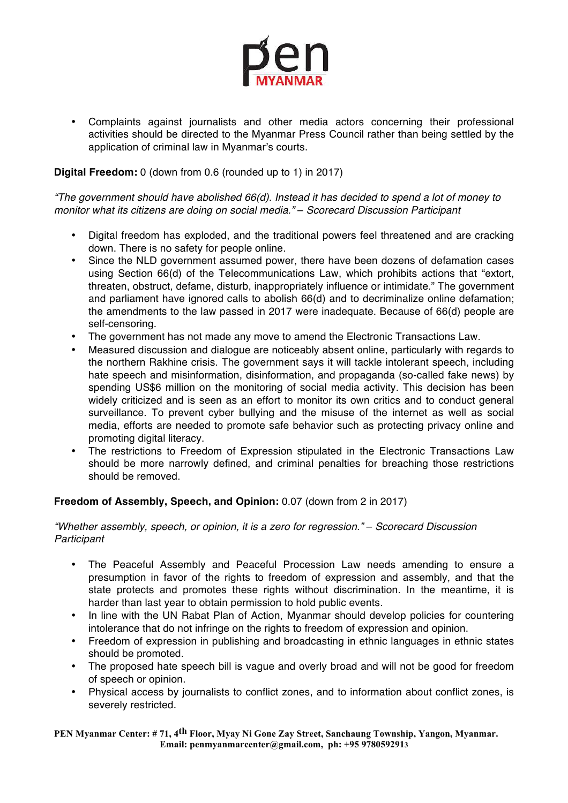

• Complaints against journalists and other media actors concerning their professional activities should be directed to the Myanmar Press Council rather than being settled by the application of criminal law in Myanmar's courts.

### **Digital Freedom:** 0 (down from 0.6 (rounded up to 1) in 2017)

"The government should have abolished 66(d). Instead it has decided to spend a lot of money to monitor what its citizens are doing on social media." – Scorecard Discussion Participant

- Digital freedom has exploded, and the traditional powers feel threatened and are cracking down. There is no safety for people online.
- Since the NLD government assumed power, there have been dozens of defamation cases using Section 66(d) of the Telecommunications Law, which prohibits actions that "extort, threaten, obstruct, defame, disturb, inappropriately influence or intimidate." The government and parliament have ignored calls to abolish 66(d) and to decriminalize online defamation; the amendments to the law passed in 2017 were inadequate. Because of 66(d) people are self-censoring.
- The government has not made any move to amend the Electronic Transactions Law.
- Measured discussion and dialogue are noticeably absent online, particularly with regards to the northern Rakhine crisis. The government says it will tackle intolerant speech, including hate speech and misinformation, disinformation, and propaganda (so-called fake news) by spending US\$6 million on the monitoring of social media activity. This decision has been widely criticized and is seen as an effort to monitor its own critics and to conduct general surveillance. To prevent cyber bullying and the misuse of the internet as well as social media, efforts are needed to promote safe behavior such as protecting privacy online and promoting digital literacy.
- The restrictions to Freedom of Expression stipulated in the Electronic Transactions Law should be more narrowly defined, and criminal penalties for breaching those restrictions should be removed.

# **Freedom of Assembly, Speech, and Opinion:** 0.07 (down from 2 in 2017)

#### "Whether assembly, speech, or opinion, it is a zero for regression." – Scorecard Discussion **Participant**

- The Peaceful Assembly and Peaceful Procession Law needs amending to ensure a presumption in favor of the rights to freedom of expression and assembly, and that the state protects and promotes these rights without discrimination. In the meantime, it is harder than last year to obtain permission to hold public events.
- In line with the UN Rabat Plan of Action, Myanmar should develop policies for countering intolerance that do not infringe on the rights to freedom of expression and opinion.
- Freedom of expression in publishing and broadcasting in ethnic languages in ethnic states should be promoted.
- The proposed hate speech bill is vague and overly broad and will not be good for freedom of speech or opinion.
- Physical access by journalists to conflict zones, and to information about conflict zones, is severely restricted.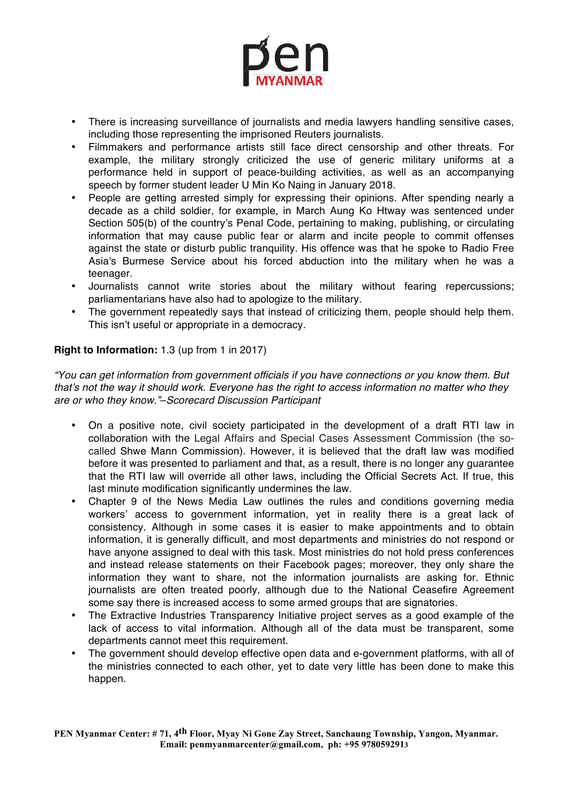

- There is increasing surveillance of journalists and media lawyers handling sensitive cases, including those representing the imprisoned Reuters journalists.
- Filmmakers and performance artists still face direct censorship and other threats. For example, the military strongly criticized the use of generic military uniforms at a performance held in support of peace-building activities, as well as an accompanying speech by former student leader U Min Ko Naing in January 2018.
- People are getting arrested simply for expressing their opinions. After spending nearly a decade as a child soldier, for example, in March Aung Ko Htway was sentenced under Section 505(b) of the country's Penal Code, pertaining to making, publishing, or circulating information that may cause public fear or alarm and incite people to commit offenses against the state or disturb public tranquility. His offence was that he spoke to Radio Free Asia's Burmese Service about his forced abduction into the military when he was a teenager.
- Journalists cannot write stories about the military without fearing repercussions; parliamentarians have also had to apologize to the military.
- The government repeatedly says that instead of criticizing them, people should help them. This isn't useful or appropriate in a democracy.

### **Right to Information:** 1.3 (up from 1 in 2017)

"You can get information from government officials if you have connections or you know them. But that's not the way it should work. Everyone has the right to access information no matter who they are or who they know."–Scorecard Discussion Participant

- On a positive note, civil society participated in the development of a draft RTI law in collaboration with the Legal Affairs and Special Cases Assessment Commission (the socalled Shwe Mann Commission). However, it is believed that the draft law was modified before it was presented to parliament and that, as a result, there is no longer any guarantee that the RTI law will override all other laws, including the Official Secrets Act. If true, this last minute modification significantly undermines the law.
- Chapter 9 of the News Media Law outlines the rules and conditions governing media workers' access to government information, yet in reality there is a great lack of consistency. Although in some cases it is easier to make appointments and to obtain information, it is generally difficult, and most departments and ministries do not respond or have anyone assigned to deal with this task. Most ministries do not hold press conferences and instead release statements on their Facebook pages; moreover, they only share the information they want to share, not the information journalists are asking for. Ethnic journalists are often treated poorly, although due to the National Ceasefire Agreement some say there is increased access to some armed groups that are signatories.
- The Extractive Industries Transparency Initiative project serves as a good example of the lack of access to vital information. Although all of the data must be transparent, some departments cannot meet this requirement.
- The government should develop effective open data and e-government platforms, with all of the ministries connected to each other, yet to date very little has been done to make this happen.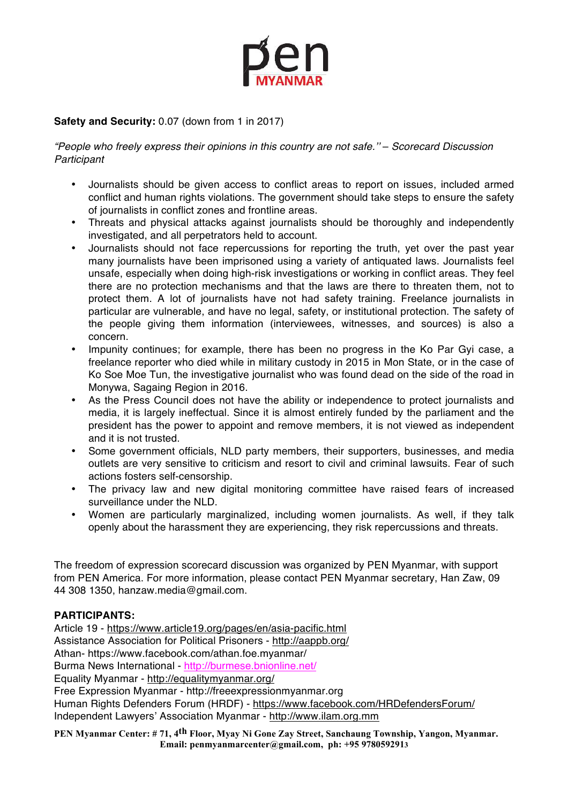

# **Safety and Security:** 0.07 (down from 1 in 2017)

"People who freely express their opinions in this country are not safe.'' – Scorecard Discussion **Participant** 

- Journalists should be given access to conflict areas to report on issues, included armed conflict and human rights violations. The government should take steps to ensure the safety of journalists in conflict zones and frontline areas.
- Threats and physical attacks against journalists should be thoroughly and independently investigated, and all perpetrators held to account.
- Journalists should not face repercussions for reporting the truth, yet over the past year many journalists have been imprisoned using a variety of antiquated laws. Journalists feel unsafe, especially when doing high-risk investigations or working in conflict areas. They feel there are no protection mechanisms and that the laws are there to threaten them, not to protect them. A lot of journalists have not had safety training. Freelance journalists in particular are vulnerable, and have no legal, safety, or institutional protection. The safety of the people giving them information (interviewees, witnesses, and sources) is also a concern.
- Impunity continues; for example, there has been no progress in the Ko Par Gyi case, a freelance reporter who died while in military custody in 2015 in Mon State, or in the case of Ko Soe Moe Tun, the investigative journalist who was found dead on the side of the road in Monywa, Sagaing Region in 2016.
- As the Press Council does not have the ability or independence to protect journalists and media, it is largely ineffectual. Since it is almost entirely funded by the parliament and the president has the power to appoint and remove members, it is not viewed as independent and it is not trusted.
- Some government officials, NLD party members, their supporters, businesses, and media outlets are very sensitive to criticism and resort to civil and criminal lawsuits. Fear of such actions fosters self-censorship.
- The privacy law and new digital monitoring committee have raised fears of increased surveillance under the NLD.
- Women are particularly marginalized, including women journalists. As well, if they talk openly about the harassment they are experiencing, they risk repercussions and threats.

The freedom of expression scorecard discussion was organized by PEN Myanmar, with support from PEN America. For more information, please contact PEN Myanmar secretary, Han Zaw, 09 44 308 1350, hanzaw.media@gmail.com.

#### **PARTICIPANTS:**

Article 19 - https://www.article19.org/pages/en/asia-pacific.html Assistance Association for Political Prisoners - http://aappb.org/ Athan- https://www.facebook.com/athan.foe.myanmar/ Burma News International - http://burmese.bnionline.net/ Equality Myanmar - http://equalitymyanmar.org/ Free Expression Myanmar - http://freeexpressionmyanmar.org Human Rights Defenders Forum (HRDF) - https://www.facebook.com/HRDefendersForum/ Independent Lawyers' Association Myanmar - http://www.ilam.org.mm